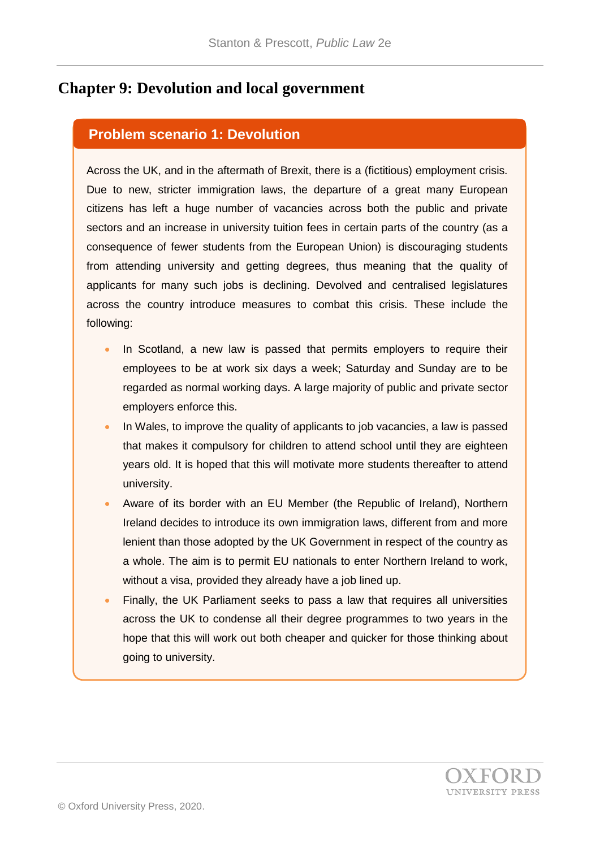## **Chapter 9: Devolution and local government**

## **Problem scenario 1: Devolution**

Across the UK, and in the aftermath of Brexit, there is a (fictitious) employment crisis. Due to new, stricter immigration laws, the departure of a great many European citizens has left a huge number of vacancies across both the public and private sectors and an increase in university tuition fees in certain parts of the country (as a consequence of fewer students from the European Union) is discouraging students from attending university and getting degrees, thus meaning that the quality of applicants for many such jobs is declining. Devolved and centralised legislatures across the country introduce measures to combat this crisis. These include the following:

- In Scotland, a new law is passed that permits employers to require their employees to be at work six days a week; Saturday and Sunday are to be regarded as normal working days. A large majority of public and private sector employers enforce this.
- In Wales, to improve the quality of applicants to job vacancies, a law is passed that makes it compulsory for children to attend school until they are eighteen years old. It is hoped that this will motivate more students thereafter to attend university.
- Aware of its border with an EU Member (the Republic of Ireland), Northern Ireland decides to introduce its own immigration laws, different from and more lenient than those adopted by the UK Government in respect of the country as a whole. The aim is to permit EU nationals to enter Northern Ireland to work, without a visa, provided they already have a job lined up.
- Finally, the UK Parliament seeks to pass a law that requires all universities across the UK to condense all their degree programmes to two years in the hope that this will work out both cheaper and quicker for those thinking about going to university.

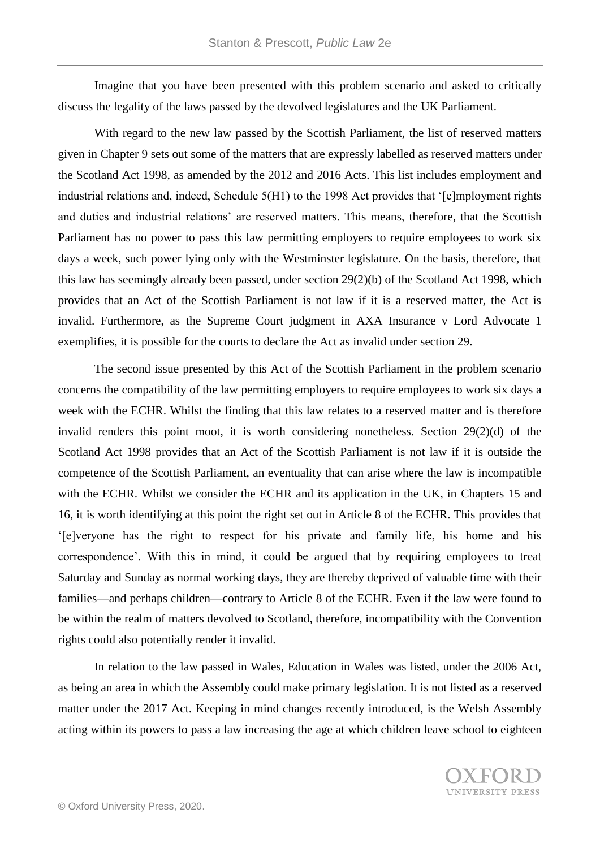Imagine that you have been presented with this problem scenario and asked to critically discuss the legality of the laws passed by the devolved legislatures and the UK Parliament.

With regard to the new law passed by the Scottish Parliament, the list of reserved matters given in Chapter 9 sets out some of the matters that are expressly labelled as reserved matters under the Scotland Act 1998, as amended by the 2012 and 2016 Acts. This list includes employment and industrial relations and, indeed, Schedule 5(H1) to the 1998 Act provides that '[e]mployment rights and duties and industrial relations' are reserved matters. This means, therefore, that the Scottish Parliament has no power to pass this law permitting employers to require employees to work six days a week, such power lying only with the Westminster legislature. On the basis, therefore, that this law has seemingly already been passed, under section 29(2)(b) of the Scotland Act 1998, which provides that an Act of the Scottish Parliament is not law if it is a reserved matter, the Act is invalid. Furthermore, as the Supreme Court judgment in AXA Insurance v Lord Advocate 1 exemplifies, it is possible for the courts to declare the Act as invalid under section 29.

The second issue presented by this Act of the Scottish Parliament in the problem scenario concerns the compatibility of the law permitting employers to require employees to work six days a week with the ECHR. Whilst the finding that this law relates to a reserved matter and is therefore invalid renders this point moot, it is worth considering nonetheless. Section 29(2)(d) of the Scotland Act 1998 provides that an Act of the Scottish Parliament is not law if it is outside the competence of the Scottish Parliament, an eventuality that can arise where the law is incompatible with the ECHR. Whilst we consider the ECHR and its application in the UK, in Chapters 15 and 16, it is worth identifying at this point the right set out in Article 8 of the ECHR. This provides that '[e]veryone has the right to respect for his private and family life, his home and his correspondence'. With this in mind, it could be argued that by requiring employees to treat Saturday and Sunday as normal working days, they are thereby deprived of valuable time with their families—and perhaps children—contrary to Article 8 of the ECHR. Even if the law were found to be within the realm of matters devolved to Scotland, therefore, incompatibility with the Convention rights could also potentially render it invalid.

In relation to the law passed in Wales, Education in Wales was listed, under the 2006 Act, as being an area in which the Assembly could make primary legislation. It is not listed as a reserved matter under the 2017 Act. Keeping in mind changes recently introduced, is the Welsh Assembly acting within its powers to pass a law increasing the age at which children leave school to eighteen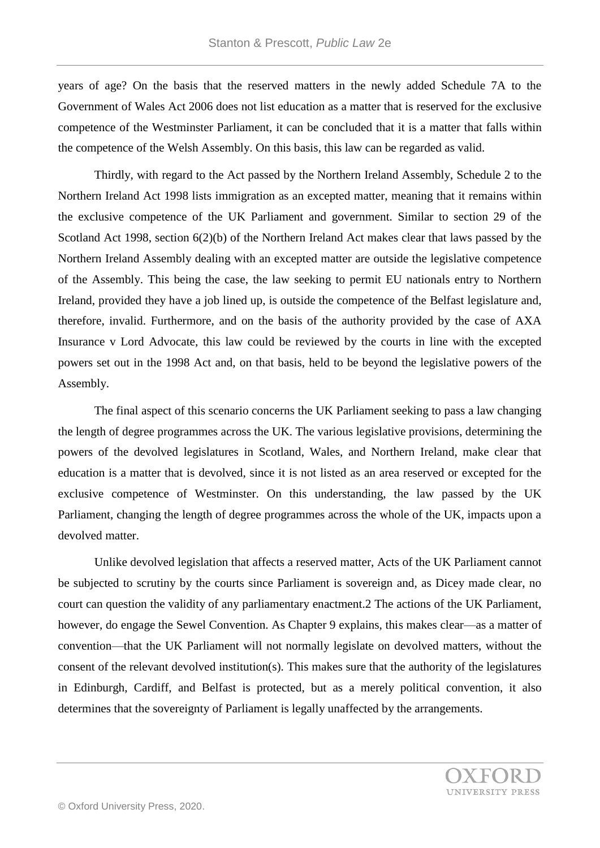years of age? On the basis that the reserved matters in the newly added Schedule 7A to the Government of Wales Act 2006 does not list education as a matter that is reserved for the exclusive competence of the Westminster Parliament, it can be concluded that it is a matter that falls within the competence of the Welsh Assembly. On this basis, this law can be regarded as valid.

Thirdly, with regard to the Act passed by the Northern Ireland Assembly, Schedule 2 to the Northern Ireland Act 1998 lists immigration as an excepted matter, meaning that it remains within the exclusive competence of the UK Parliament and government. Similar to section 29 of the Scotland Act 1998, section 6(2)(b) of the Northern Ireland Act makes clear that laws passed by the Northern Ireland Assembly dealing with an excepted matter are outside the legislative competence of the Assembly. This being the case, the law seeking to permit EU nationals entry to Northern Ireland, provided they have a job lined up, is outside the competence of the Belfast legislature and, therefore, invalid. Furthermore, and on the basis of the authority provided by the case of AXA Insurance v Lord Advocate, this law could be reviewed by the courts in line with the excepted powers set out in the 1998 Act and, on that basis, held to be beyond the legislative powers of the Assembly.

The final aspect of this scenario concerns the UK Parliament seeking to pass a law changing the length of degree programmes across the UK. The various legislative provisions, determining the powers of the devolved legislatures in Scotland, Wales, and Northern Ireland, make clear that education is a matter that is devolved, since it is not listed as an area reserved or excepted for the exclusive competence of Westminster. On this understanding, the law passed by the UK Parliament, changing the length of degree programmes across the whole of the UK, impacts upon a devolved matter.

Unlike devolved legislation that affects a reserved matter, Acts of the UK Parliament cannot be subjected to scrutiny by the courts since Parliament is sovereign and, as Dicey made clear, no court can question the validity of any parliamentary enactment.2 The actions of the UK Parliament, however, do engage the Sewel Convention. As Chapter 9 explains, this makes clear—as a matter of convention—that the UK Parliament will not normally legislate on devolved matters, without the consent of the relevant devolved institution(s). This makes sure that the authority of the legislatures in Edinburgh, Cardiff, and Belfast is protected, but as a merely political convention, it also determines that the sovereignty of Parliament is legally unaffected by the arrangements.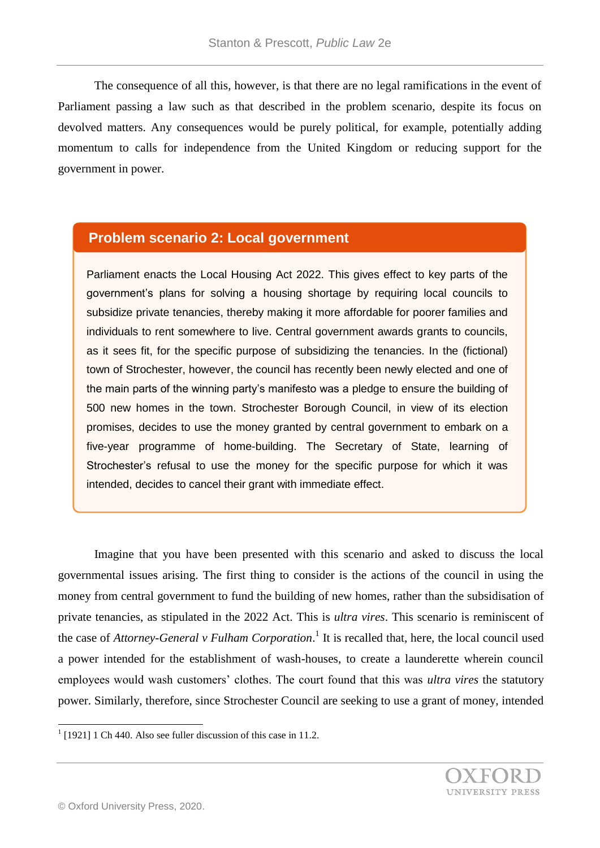The consequence of all this, however, is that there are no legal ramifications in the event of Parliament passing a law such as that described in the problem scenario, despite its focus on devolved matters. Any consequences would be purely political, for example, potentially adding momentum to calls for independence from the United Kingdom or reducing support for the government in power.

## **Problem scenario 2: Local government**

Parliament enacts the Local Housing Act 2022. This gives effect to key parts of the government's plans for solving a housing shortage by requiring local councils to subsidize private tenancies, thereby making it more affordable for poorer families and individuals to rent somewhere to live. Central government awards grants to councils, as it sees fit, for the specific purpose of subsidizing the tenancies. In the (fictional) town of Strochester, however, the council has recently been newly elected and one of the main parts of the winning party's manifesto was a pledge to ensure the building of 500 new homes in the town. Strochester Borough Council, in view of its election promises, decides to use the money granted by central government to embark on a five-year programme of home-building. The Secretary of State, learning of Strochester's refusal to use the money for the specific purpose for which it was intended, decides to cancel their grant with immediate effect.

Imagine that you have been presented with this scenario and asked to discuss the local governmental issues arising. The first thing to consider is the actions of the council in using the money from central government to fund the building of new homes, rather than the subsidisation of private tenancies, as stipulated in the 2022 Act. This is *ultra vires*. This scenario is reminiscent of the case of *Attorney-General v Fulham Corporation*. 1 It is recalled that, here, the local council used a power intended for the establishment of wash-houses, to create a launderette wherein council employees would wash customers' clothes. The court found that this was *ultra vires* the statutory power. Similarly, therefore, since Strochester Council are seeking to use a grant of money, intended

<sup>&</sup>lt;sup>1</sup> [1921] 1 Ch 440. Also see fuller discussion of this case in 11.2.